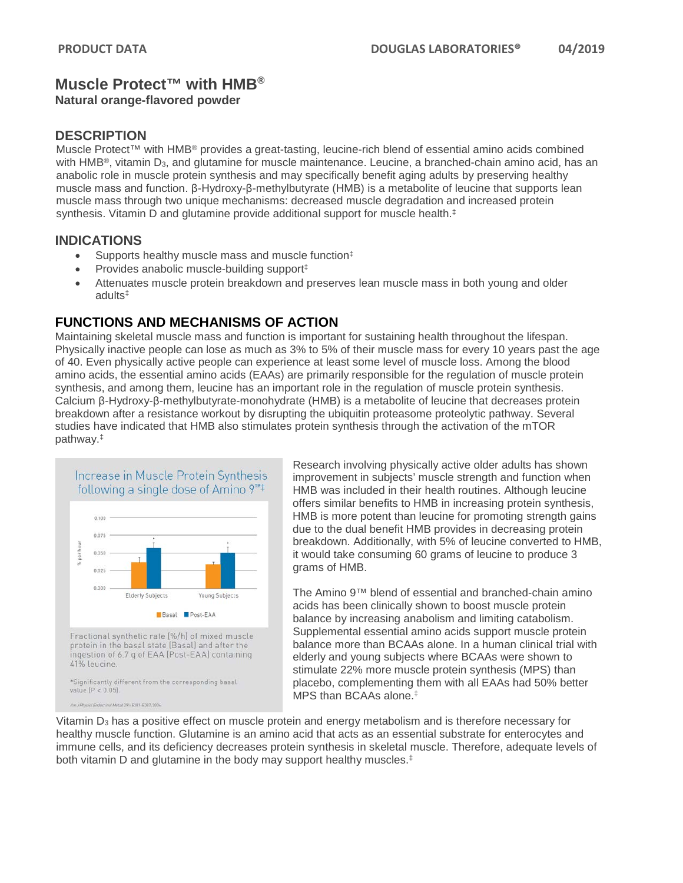# **Muscle Protect™ with HMB®**

#### **Natural orange-flavored powder**

### **DESCRIPTION**

Muscle Protect™ with HMB® provides a great-tasting, leucine-rich blend of essential amino acids combined with HMB<sup>®</sup>, vitamin D<sub>3</sub>, and glutamine for muscle maintenance. Leucine, a branched-chain amino acid, has an anabolic role in muscle protein synthesis and may specifically benefit aging adults by preserving healthy muscle mass and function. β-Hydroxy-β-methylbutyrate (HMB) is a metabolite of leucine that supports lean muscle mass through two unique mechanisms: decreased muscle degradation and increased protein synthesis. Vitamin D and glutamine provide additional support for muscle health.<sup>‡</sup>

#### **INDICATIONS**

- Supports healthy muscle mass and muscle function<sup>‡</sup>
- Provides anabolic muscle-building support<sup>‡</sup>
- Attenuates muscle protein breakdown and preserves lean muscle mass in both young and older adults‡

## **FUNCTIONS AND MECHANISMS OF ACTION**

Maintaining skeletal muscle mass and function is important for sustaining health throughout the lifespan. Physically inactive people can lose as much as 3% to 5% of their muscle mass for every 10 years past the age of 40. Even physically active people can experience at least some level of muscle loss. Among the blood amino acids, the essential amino acids (EAAs) are primarily responsible for the regulation of muscle protein synthesis, and among them, leucine has an important role in the regulation of muscle protein synthesis. Calcium β-Hydroxy-β-methylbutyrate-monohydrate (HMB) is a metabolite of leucine that decreases protein breakdown after a resistance workout by disrupting the ubiquitin proteasome proteolytic pathway. Several studies have indicated that HMB also stimulates protein synthesis through the activation of the mTOR pathway.‡



Research involving physically active older adults has shown improvement in subjects' muscle strength and function when HMB was included in their health routines. Although leucine offers similar benefits to HMB in increasing protein synthesis, HMB is more potent than leucine for promoting strength gains due to the dual benefit HMB provides in decreasing protein breakdown. Additionally, with 5% of leucine converted to HMB, it would take consuming 60 grams of leucine to produce 3 grams of HMB.

The Amino 9™ blend of essential and branched-chain amino acids has been clinically shown to boost muscle protein balance by increasing anabolism and limiting catabolism. Supplemental essential amino acids support muscle protein balance more than BCAAs alone. In a human clinical trial with elderly and young subjects where BCAAs were shown to stimulate 22% more muscle protein synthesis (MPS) than placebo, complementing them with all EAAs had 50% better MPS than BCAAs alone.‡

Vitamin  $D_3$  has a positive effect on muscle protein and energy metabolism and is therefore necessary for healthy muscle function. Glutamine is an amino acid that acts as an essential substrate for enterocytes and immune cells, and its deficiency decreases protein synthesis in skeletal muscle. Therefore, adequate levels of both vitamin D and glutamine in the body may support healthy muscles.‡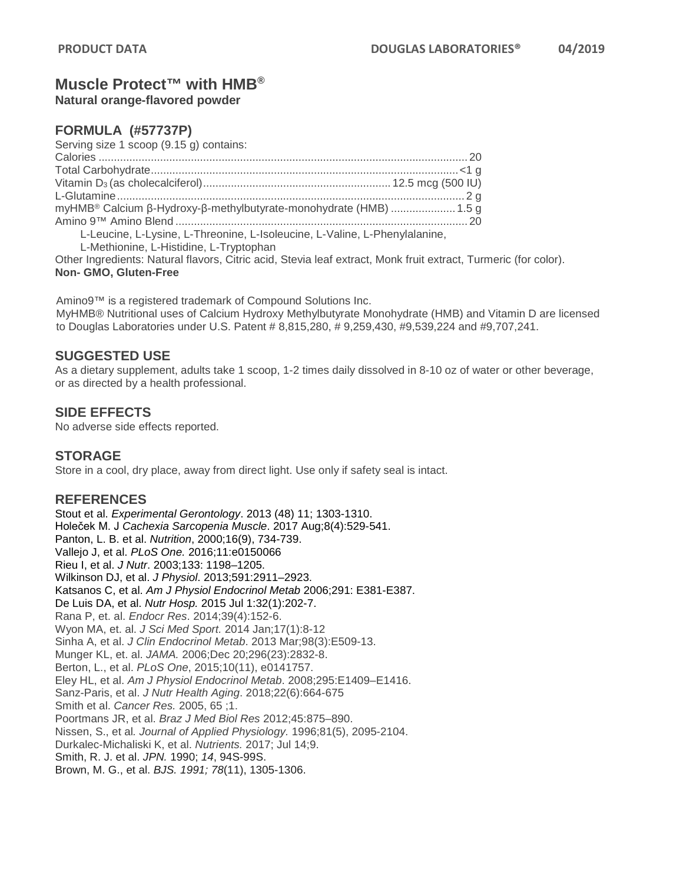## **Muscle Protect™ with HMB®**

**Natural orange-flavored powder** 

### **FORMULA (#57737P)**

Serving size 1 scoop (9.15 g) contains: Calories ........................................................................................................................ 20 Total Carbohydrate....................................................................................................<1 g Vitamin D3 (as cholecalciferol)............................................................. 12.5 mcg (500 IU) L-Glutamine................................................................................................................. 2 g myHMB® Calcium β-Hydroxy-β-methylbutyrate-monohydrate (HMB) .....................1.5 g Amino 9™ Amino Blend ............................................................................................... 20 L-Leucine, L-Lysine, L-Threonine, L-Isoleucine, L-Valine, L-Phenylalanine,

L-Methionine, L-Histidine, L-Tryptophan

Other Ingredients: Natural flavors, Citric acid, Stevia leaf extract, Monk fruit extract, Turmeric (for color). **Non- GMO, Gluten-Free**

Amino9™ is a registered trademark of Compound Solutions Inc. MyHMB® Nutritional uses of Calcium Hydroxy Methylbutyrate Monohydrate (HMB) and Vitamin D are licensed to Douglas Laboratories under U.S. Patent # 8,815,280, # 9,259,430, #9,539,224 and #9,707,241.

## **SUGGESTED USE**

As a dietary supplement, adults take 1 scoop, 1-2 times daily dissolved in 8-10 oz of water or other beverage, or as directed by a health professional.

### **SIDE EFFECTS**

No adverse side effects reported.

### **STORAGE**

Store in a cool, dry place, away from direct light. Use only if safety seal is intact.

### **REFERENCES**

Stout et al. *Experimental Gerontology*. 2013 (48) 11; 1303-1310. Holeček M. J *Cachexia Sarcopenia Muscle*. 2017 Aug;8(4):529-541. Panton, L. B. et al. *Nutrition*, 2000;16(9), 734-739. Vallejo J, et al. *PLoS One.* 2016;11:e0150066 Rieu I, et al. *J Nutr*. 2003;133: 1198–1205. Wilkinson DJ, et al. *J Physiol*. 2013;591:2911–2923. Katsanos C, et al. *Am J Physiol Endocrinol Metab* 2006;291: E381-E387. De Luis DA, et al. *Nutr Hosp.* 2015 Jul 1:32(1):202-7. Rana P, et. al. *Endocr Res*. 2014;39(4):152-6. Wyon MA, et. al. *J Sci Med Sport.* 2014 Jan;17(1):8-12 Sinha A, et al. *J Clin Endocrinol Metab*. 2013 Mar;98(3):E509-13. Munger KL, et. al. *JAMA.* 2006;Dec 20;296(23):2832-8. Berton, L., et al. *PLoS One*, 2015;10(11), e0141757. Eley HL, et al. *Am J Physiol Endocrinol Metab*. 2008;295:E1409–E1416. Sanz-Paris, et al. *J Nutr Health Aging*. 2018;22(6):664-675 Smith et al. *Cancer Res.* 2005, 65 ;1. Poortmans JR, et al. *Braz J Med Biol Res* 2012;45:875–890. Nissen, S., et al*. Journal of Applied Physiology.* 1996;81(5), 2095-2104. Durkalec-Michaliski K, et al. *Nutrients.* 2017; Jul 14;9. Smith, R. J. et al. *JPN.* 1990; *14*, 94S-99S. Brown, M. G., et al. *BJS. 1991; 78*(11), 1305-1306.